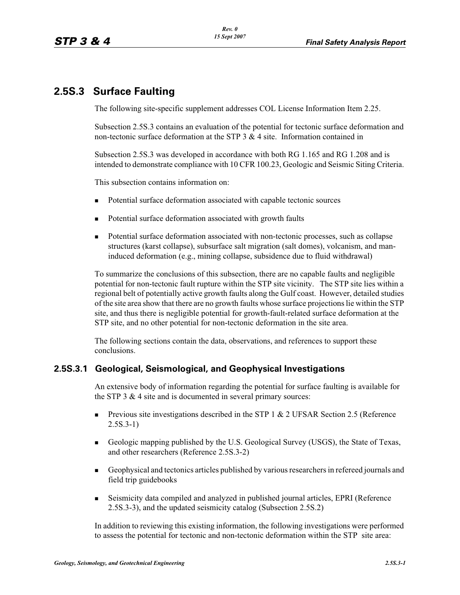# **2.5S.3 Surface Faulting**

The following site-specific supplement addresses COL License Information Item 2.25.

Subsection 2.5S.3 contains an evaluation of the potential for tectonic surface deformation and non-tectonic surface deformation at the STP 3  $\&$  4 site. Information contained in

Subsection 2.5S.3 was developed in accordance with both RG 1.165 and RG 1.208 and is intended to demonstrate compliance with 10 CFR 100.23, Geologic and Seismic Siting Criteria.

This subsection contains information on:

- -Potential surface deformation associated with capable tectonic sources
- -Potential surface deformation associated with growth faults
- - Potential surface deformation associated with non-tectonic processes, such as collapse structures (karst collapse), subsurface salt migration (salt domes), volcanism, and maninduced deformation (e.g., mining collapse, subsidence due to fluid withdrawal)

To summarize the conclusions of this subsection, there are no capable faults and negligible potential for non-tectonic fault rupture within the STP site vicinity. The STP site lies within a regional belt of potentially active growth faults along the Gulf coast. However, detailed studies of the site area show that there are no growth faults whose surface projections lie within the STP site, and thus there is negligible potential for growth-fault-related surface deformation at the STP site, and no other potential for non-tectonic deformation in the site area.

The following sections contain the data, observations, and references to support these conclusions.

# **2.5S.3.1 Geological, Seismological, and Geophysical Investigations**

An extensive body of information regarding the potential for surface faulting is available for the STP 3 & 4 site and is documented in several primary sources:

- - Previous site investigations described in the STP 1 & 2 UFSAR Section 2.5 (Reference 2.5S.3-1)
- - Geologic mapping published by the U.S. Geological Survey (USGS), the State of Texas, and other researchers (Reference 2.5S.3-2)
- - Geophysical and tectonics articles published by various researchers in refereed journals and field trip guidebooks
- - Seismicity data compiled and analyzed in published journal articles, EPRI (Reference 2.5S.3-3), and the updated seismicity catalog (Subsection 2.5S.2)

In addition to reviewing this existing information, the following investigations were performed to assess the potential for tectonic and non-tectonic deformation within the STP site area: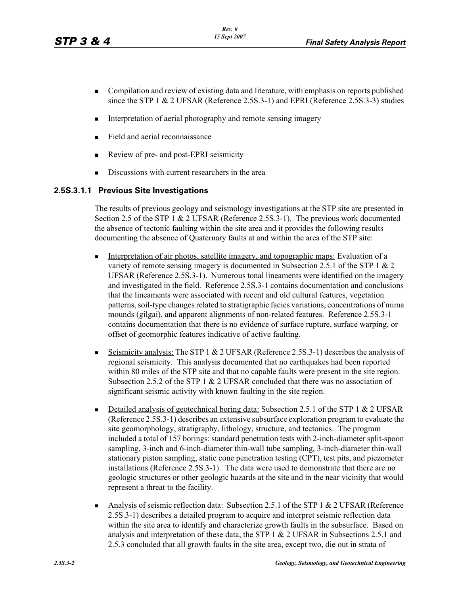- - Compilation and review of existing data and literature, with emphasis on reports published since the STP 1 & 2 UFSAR (Reference 2.5S.3-1) and EPRI (Reference 2.5S.3-3) studies
- -Interpretation of aerial photography and remote sensing imagery
- -Field and aerial reconnaissance
- -Review of pre- and post-EPRI seismicity
- -Discussions with current researchers in the area

#### **2.5S.3.1.1 Previous Site Investigations**

The results of previous geology and seismology investigations at the STP site are presented in Section 2.5 of the STP 1 & 2 UFSAR (Reference 2.5S.3-1). The previous work documented the absence of tectonic faulting within the site area and it provides the following results documenting the absence of Quaternary faults at and within the area of the STP site:

- - Interpretation of air photos, satellite imagery, and topographic maps: Evaluation of a variety of remote sensing imagery is documented in Subsection 2.5.1 of the STP 1 & 2 UFSAR (Reference 2.5S.3-1). Numerous tonal lineaments were identified on the imagery and investigated in the field. Reference 2.5S.3-1 contains documentation and conclusions that the lineaments were associated with recent and old cultural features, vegetation patterns, soil-type changes related to stratigraphic facies variations, concentrations of mima mounds (gilgai), and apparent alignments of non-related features. Reference 2.5S.3-1 contains documentation that there is no evidence of surface rupture, surface warping, or offset of geomorphic features indicative of active faulting.
- - Seismicity analysis: The STP 1 & 2 UFSAR (Reference 2.5S.3-1) describes the analysis of regional seismicity. This analysis documented that no earthquakes had been reported within 80 miles of the STP site and that no capable faults were present in the site region. Subsection 2.5.2 of the STP 1 & 2 UFSAR concluded that there was no association of significant seismic activity with known faulting in the site region.
- -Detailed analysis of geotechnical boring data: Subsection 2.5.1 of the STP 1 & 2 UFSAR (Reference 2.5S.3-1) describes an extensive subsurface exploration program to evaluate the site geomorphology, stratigraphy, lithology, structure, and tectonics. The program included a total of 157 borings: standard penetration tests with 2-inch-diameter split-spoon sampling, 3-inch and 6-inch-diameter thin-wall tube sampling, 3-inch-diameter thin-wall stationary piston sampling, static cone penetration testing (CPT), test pits, and piezometer installations (Reference 2.5S.3-1). The data were used to demonstrate that there are no geologic structures or other geologic hazards at the site and in the near vicinity that would represent a threat to the facility.
- - Analysis of seismic reflection data: Subsection 2.5.1 of the STP 1 & 2 UFSAR (Reference 2.5S.3-1) describes a detailed program to acquire and interpret seismic reflection data within the site area to identify and characterize growth faults in the subsurface. Based on analysis and interpretation of these data, the STP  $1 \& 2$  UFSAR in Subsections 2.5.1 and 2.5.3 concluded that all growth faults in the site area, except two, die out in strata of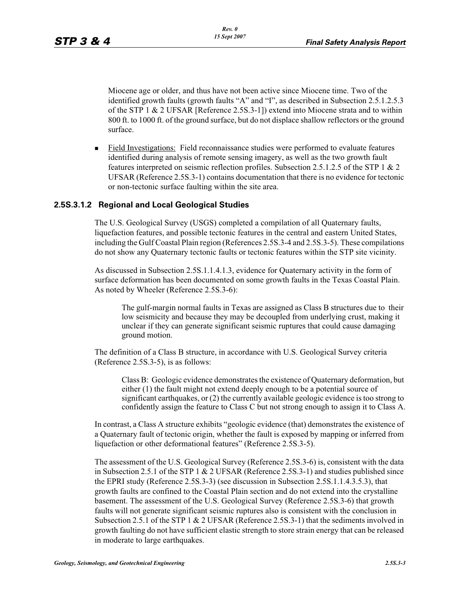Miocene age or older, and thus have not been active since Miocene time. Two of the identified growth faults (growth faults "A" and "I", as described in Subsection 2.5.1.2.5.3 of the STP 1 & 2 UFSAR [Reference 2.5S.3-1]) extend into Miocene strata and to within 800 ft. to 1000 ft. of the ground surface, but do not displace shallow reflectors or the ground surface.

- Field Investigations: Field reconnaissance studies were performed to evaluate features identified during analysis of remote sensing imagery, as well as the two growth fault features interpreted on seismic reflection profiles. Subsection 2.5.1.2.5 of the STP 1 & 2 UFSAR (Reference 2.5S.3-1) contains documentation that there is no evidence for tectonic or non-tectonic surface faulting within the site area.

#### **2.5S.3.1.2 Regional and Local Geological Studies**

The U.S. Geological Survey (USGS) completed a compilation of all Quaternary faults, liquefaction features, and possible tectonic features in the central and eastern United States, including the Gulf Coastal Plain region (References 2.5S.3-4 and 2.5S.3-5). These compilations do not show any Quaternary tectonic faults or tectonic features within the STP site vicinity.

As discussed in Subsection 2.5S.1.1.4.1.3, evidence for Quaternary activity in the form of surface deformation has been documented on some growth faults in the Texas Coastal Plain. As noted by Wheeler (Reference 2.5S.3-6):

The gulf-margin normal faults in Texas are assigned as Class B structures due to their low seismicity and because they may be decoupled from underlying crust, making it unclear if they can generate significant seismic ruptures that could cause damaging ground motion.

The definition of a Class B structure, in accordance with U.S. Geological Survey criteria (Reference 2.5S.3-5), is as follows:

Class B: Geologic evidence demonstrates the existence of Quaternary deformation, but either (1) the fault might not extend deeply enough to be a potential source of significant earthquakes, or (2) the currently available geologic evidence is too strong to confidently assign the feature to Class C but not strong enough to assign it to Class A.

In contrast, a Class A structure exhibits "geologic evidence (that) demonstrates the existence of a Quaternary fault of tectonic origin, whether the fault is exposed by mapping or inferred from liquefaction or other deformational features" (Reference 2.5S.3-5).

The assessment of the U.S. Geological Survey (Reference 2.5S.3-6) is, consistent with the data in Subsection 2.5.1 of the STP 1 & 2 UFSAR (Reference 2.5S.3-1) and studies published since the EPRI study (Reference 2.5S.3-3) (see discussion in Subsection 2.5S.1.1.4.3.5.3), that growth faults are confined to the Coastal Plain section and do not extend into the crystalline basement. The assessment of the U.S. Geological Survey (Reference 2.5S.3-6) that growth faults will not generate significant seismic ruptures also is consistent with the conclusion in Subsection 2.5.1 of the STP 1 & 2 UFSAR (Reference 2.5S.3-1) that the sediments involved in growth faulting do not have sufficient elastic strength to store strain energy that can be released in moderate to large earthquakes.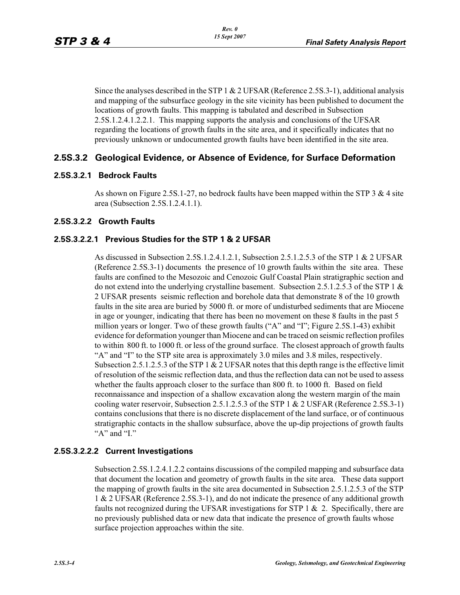Since the analyses described in the STP 1  $\&$  2 UFSAR (Reference 2.5S.3-1), additional analysis and mapping of the subsurface geology in the site vicinity has been published to document the locations of growth faults. This mapping is tabulated and described in Subsection 2.5S.1.2.4.1.2.2.1. This mapping supports the analysis and conclusions of the UFSAR regarding the locations of growth faults in the site area, and it specifically indicates that no previously unknown or undocumented growth faults have been identified in the site area.

# **2.5S.3.2 Geological Evidence, or Absence of Evidence, for Surface Deformation**

#### **2.5S.3.2.1 Bedrock Faults**

As shown on Figure 2.5S.1-27, no bedrock faults have been mapped within the STP 3 & 4 site area (Subsection 2.5S.1.2.4.1.1).

#### **2.5S.3.2.2 Growth Faults**

# **2.5S.3.2.2.1 Previous Studies for the STP 1 & 2 UFSAR**

As discussed in Subsection 2.5S.1.2.4.1.2.1, Subsection 2.5.1.2.5.3 of the STP 1 & 2 UFSAR (Reference 2.5S.3-1) documents the presence of 10 growth faults within the site area. These faults are confined to the Mesozoic and Cenozoic Gulf Coastal Plain stratigraphic section and do not extend into the underlying crystalline basement. Subsection 2.5.1.2.5.3 of the STP 1  $\&$ 2 UFSAR presents seismic reflection and borehole data that demonstrate 8 of the 10 growth faults in the site area are buried by 5000 ft. or more of undisturbed sediments that are Miocene in age or younger, indicating that there has been no movement on these 8 faults in the past 5 million years or longer. Two of these growth faults ("A" and "I"; Figure 2.5S.1-43) exhibit evidence for deformation younger than Miocene and can be traced on seismic reflection profiles to within 800 ft. to 1000 ft. or less of the ground surface. The closest approach of growth faults "A" and "I" to the STP site area is approximately 3.0 miles and 3.8 miles, respectively. Subsection 2.5.1.2.5.3 of the STP 1 & 2 UFSAR notes that this depth range is the effective limit of resolution of the seismic reflection data, and thus the reflection data can not be used to assess whether the faults approach closer to the surface than 800 ft. to 1000 ft. Based on field reconnaissance and inspection of a shallow excavation along the western margin of the main cooling water reservoir, Subsection 2.5.1.2.5.3 of the STP 1 & 2 USFAR (Reference 2.5S.3-1) contains conclusions that there is no discrete displacement of the land surface, or of continuous stratigraphic contacts in the shallow subsurface, above the up-dip projections of growth faults "A" and "I."

# **2.5S.3.2.2.2 Current Investigations**

Subsection 2.5S.1.2.4.1.2.2 contains discussions of the compiled mapping and subsurface data that document the location and geometry of growth faults in the site area. These data support the mapping of growth faults in the site area documented in Subsection 2.5.1.2.5.3 of the STP 1 & 2 UFSAR (Reference 2.5S.3-1), and do not indicate the presence of any additional growth faults not recognized during the UFSAR investigations for STP 1  $\&$  2. Specifically, there are no previously published data or new data that indicate the presence of growth faults whose surface projection approaches within the site.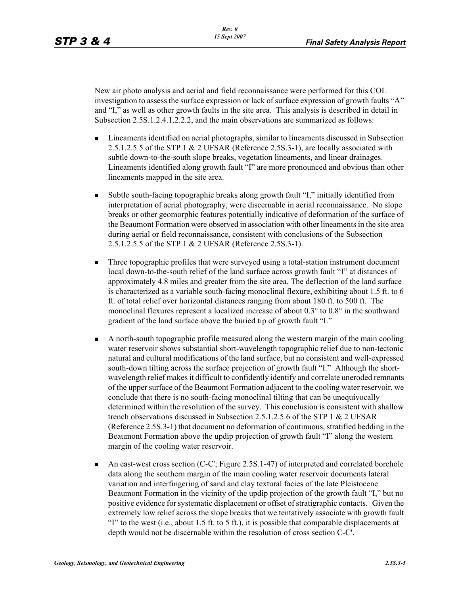New air photo analysis and aerial and field reconnaissance were performed for this COL investigation to assess the surface expression or lack of surface expression of growth faults "A" and "I," as well as other growth faults in the site area. This analysis is described in detail in Subsection 2.5S.1.2.4.1.2.2.2, and the main observations are summarized as follows:

- - Lineaments identified on aerial photographs, similar to lineaments discussed in Subsection 2.5.1.2.5.5 of the STP 1 & 2 UFSAR (Reference 2.5S.3-1), are locally associated with subtle down-to-the-south slope breaks, vegetation lineaments, and linear drainages. Lineaments identified along growth fault "I" are more pronounced and obvious than other lineaments mapped in the site area.
- - Subtle south-facing topographic breaks along growth fault "I," initially identified from interpretation of aerial photography, were discernable in aerial reconnaissance. No slope breaks or other geomorphic features potentially indicative of deformation of the surface of the Beaumont Formation were observed in association with other lineaments in the site area during aerial or field reconnaissance, consistent with conclusions of the Subsection 2.5.1.2.5.5 of the STP 1 & 2 UFSAR (Reference 2.5S.3-1).
- - Three topographic profiles that were surveyed using a total-station instrument document local down-to-the-south relief of the land surface across growth fault "I" at distances of approximately 4.8 miles and greater from the site area. The deflection of the land surface is characterized as a variable south-facing monoclinal flexure, exhibiting about 1.5 ft. to 6 ft. of total relief over horizontal distances ranging from about 180 ft. to 500 ft. The monoclinal flexures represent a localized increase of about 0.3° to 0.8° in the southward gradient of the land surface above the buried tip of growth fault "I."
- - A north-south topographic profile measured along the western margin of the main cooling water reservoir shows substantial short-wavelength topographic relief due to non-tectonic natural and cultural modifications of the land surface, but no consistent and well-expressed south-down tilting across the surface projection of growth fault "I." Although the shortwavelength relief makes it difficult to confidently identify and correlate uneroded remnants of the upper surface of the Beaumont Formation adjacent to the cooling water reservoir, we conclude that there is no south-facing monoclinal tilting that can be unequivocally determined within the resolution of the survey. This conclusion is consistent with shallow trench observations discussed in Subsection 2.5.1.2.5.6 of the STP 1 & 2 UFSAR (Reference 2.5S.3-1) that document no deformation of continuous, stratified bedding in the Beaumont Formation above the updip projection of growth fault "I" along the western margin of the cooling water reservoir.
- - An east-west cross section (C-C'; Figure 2.5S.1-47) of interpreted and correlated borehole data along the southern margin of the main cooling water reservoir documents lateral variation and interfingering of sand and clay textural facies of the late Pleistocene Beaumont Formation in the vicinity of the updip projection of the growth fault "I," but no positive evidence for systematic displacement or offset of stratigraphic contacts. Given the extremely low relief across the slope breaks that we tentatively associate with growth fault "I" to the west (i.e., about 1.5 ft. to 5 ft.), it is possible that comparable displacements at depth would not be discernable within the resolution of cross section C-C'.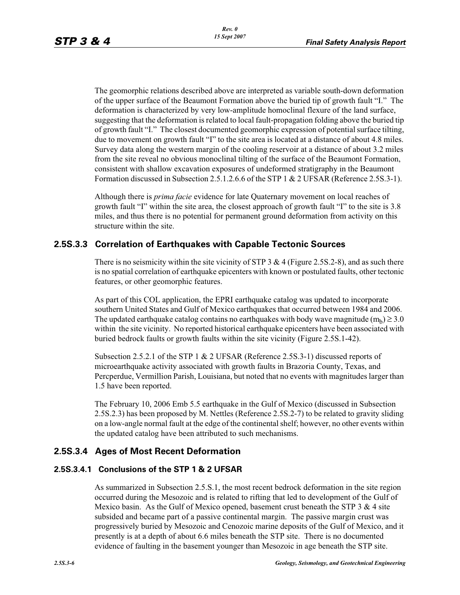The geomorphic relations described above are interpreted as variable south-down deformation of the upper surface of the Beaumont Formation above the buried tip of growth fault "I." The deformation is characterized by very low-amplitude homoclinal flexure of the land surface, suggesting that the deformation is related to local fault-propagation folding above the buried tip of growth fault "I." The closest documented geomorphic expression of potential surface tilting, due to movement on growth fault "I" to the site area is located at a distance of about 4.8 miles. Survey data along the western margin of the cooling reservoir at a distance of about 3.2 miles from the site reveal no obvious monoclinal tilting of the surface of the Beaumont Formation, consistent with shallow excavation exposures of undeformed stratigraphy in the Beaumont Formation discussed in Subsection 2.5.1.2.6.6 of the STP 1 & 2 UFSAR (Reference 2.5S.3-1).

Although there is *prima facie* evidence for late Quaternary movement on local reaches of growth fault "I" within the site area, the closest approach of growth fault "I" to the site is 3.8 miles, and thus there is no potential for permanent ground deformation from activity on this structure within the site.

# **2.5S.3.3 Correlation of Earthquakes with Capable Tectonic Sources**

There is no seismicity within the site vicinity of STP 3 & 4 (Figure 2.5S.2-8), and as such there is no spatial correlation of earthquake epicenters with known or postulated faults, other tectonic features, or other geomorphic features.

As part of this COL application, the EPRI earthquake catalog was updated to incorporate southern United States and Gulf of Mexico earthquakes that occurred between 1984 and 2006. The updated earthquake catalog contains no earthquakes with body wave magnitude  $(m_b) \ge 3.0$ within the site vicinity. No reported historical earthquake epicenters have been associated with buried bedrock faults or growth faults within the site vicinity (Figure 2.5S.1-42).

Subsection 2.5.2.1 of the STP 1 & 2 UFSAR (Reference 2.5S.3-1) discussed reports of microearthquake activity associated with growth faults in Brazoria County, Texas, and Percperdue, Vermillion Parish, Louisiana, but noted that no events with magnitudes larger than 1.5 have been reported.

The February 10, 2006 Emb 5.5 earthquake in the Gulf of Mexico (discussed in Subsection 2.5S.2.3) has been proposed by M. Nettles (Reference 2.5S.2-7) to be related to gravity sliding on a low-angle normal fault at the edge of the continental shelf; however, no other events within the updated catalog have been attributed to such mechanisms.

# **2.5S.3.4 Ages of Most Recent Deformation**

# **2.5S.3.4.1 Conclusions of the STP 1 & 2 UFSAR**

As summarized in Subsection 2.5.S.1, the most recent bedrock deformation in the site region occurred during the Mesozoic and is related to rifting that led to development of the Gulf of Mexico basin. As the Gulf of Mexico opened, basement crust beneath the STP  $3 \& 4$  site subsided and became part of a passive continental margin. The passive margin crust was progressively buried by Mesozoic and Cenozoic marine deposits of the Gulf of Mexico, and it presently is at a depth of about 6.6 miles beneath the STP site. There is no documented evidence of faulting in the basement younger than Mesozoic in age beneath the STP site.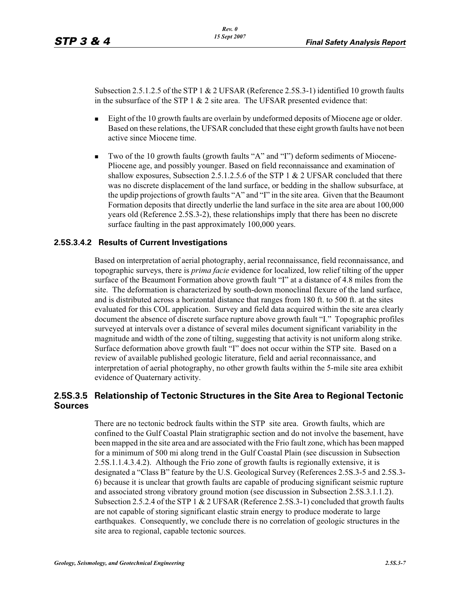Subsection 2.5.1.2.5 of the STP 1  $\&$  2 UFSAR (Reference 2.5S.3-1) identified 10 growth faults in the subsurface of the STP  $1 \& 2$  site area. The UFSAR presented evidence that:

- - Eight of the 10 growth faults are overlain by undeformed deposits of Miocene age or older. Based on these relations, the UFSAR concluded that these eight growth faults have not been active since Miocene time.
- - Two of the 10 growth faults (growth faults "A" and "I") deform sediments of Miocene-Pliocene age, and possibly younger. Based on field reconnaissance and examination of shallow exposures, Subsection 2.5.1.2.5.6 of the STP 1 & 2 UFSAR concluded that there was no discrete displacement of the land surface, or bedding in the shallow subsurface, at the updip projections of growth faults "A" and "I" in the site area. Given that the Beaumont Formation deposits that directly underlie the land surface in the site area are about 100,000 years old (Reference 2.5S.3-2), these relationships imply that there has been no discrete surface faulting in the past approximately 100,000 years.

#### **2.5S.3.4.2 Results of Current Investigations**

Based on interpretation of aerial photography, aerial reconnaissance, field reconnaissance, and topographic surveys, there is *prima facie* evidence for localized, low relief tilting of the upper surface of the Beaumont Formation above growth fault "I" at a distance of 4.8 miles from the site. The deformation is characterized by south-down monoclinal flexure of the land surface, and is distributed across a horizontal distance that ranges from 180 ft. to 500 ft. at the sites evaluated for this COL application. Survey and field data acquired within the site area clearly document the absence of discrete surface rupture above growth fault "I." Topographic profiles surveyed at intervals over a distance of several miles document significant variability in the magnitude and width of the zone of tilting, suggesting that activity is not uniform along strike. Surface deformation above growth fault "I" does not occur within the STP site. Based on a review of available published geologic literature, field and aerial reconnaissance, and interpretation of aerial photography, no other growth faults within the 5-mile site area exhibit evidence of Quaternary activity.

# **2.5S.3.5 Relationship of Tectonic Structures in the Site Area to Regional Tectonic Sources**

There are no tectonic bedrock faults within the STP site area. Growth faults, which are confined to the Gulf Coastal Plain stratigraphic section and do not involve the basement, have been mapped in the site area and are associated with the Frio fault zone, which has been mapped for a minimum of 500 mi along trend in the Gulf Coastal Plain (see discussion in Subsection 2.5S.1.1.4.3.4.2). Although the Frio zone of growth faults is regionally extensive, it is designated a "Class B" feature by the U.S. Geological Survey (References 2.5S.3-5 and 2.5S.3- 6) because it is unclear that growth faults are capable of producing significant seismic rupture and associated strong vibratory ground motion (see discussion in Subsection 2.5S.3.1.1.2). Subsection 2.5.2.4 of the STP 1 & 2 UFSAR (Reference 2.5S.3-1) concluded that growth faults are not capable of storing significant elastic strain energy to produce moderate to large earthquakes. Consequently, we conclude there is no correlation of geologic structures in the site area to regional, capable tectonic sources.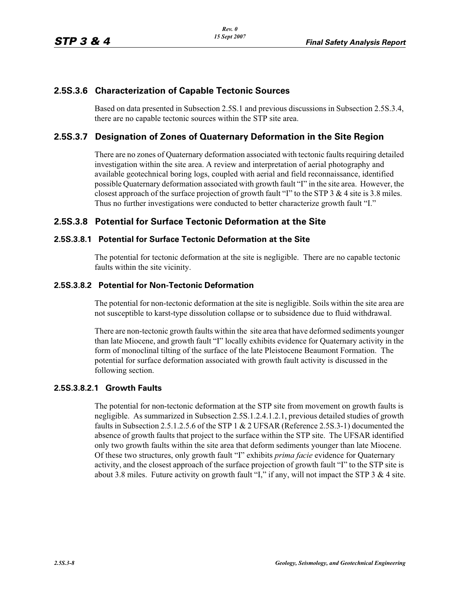# **2.5S.3.6 Characterization of Capable Tectonic Sources**

Based on data presented in Subsection 2.5S.1 and previous discussions in Subsection 2.5S.3.4, there are no capable tectonic sources within the STP site area.

# **2.5S.3.7 Designation of Zones of Quaternary Deformation in the Site Region**

There are no zones of Quaternary deformation associated with tectonic faults requiring detailed investigation within the site area. A review and interpretation of aerial photography and available geotechnical boring logs, coupled with aerial and field reconnaissance, identified possible Quaternary deformation associated with growth fault "I" in the site area. However, the closest approach of the surface projection of growth fault "I" to the STP  $3 \& 4$  site is 3.8 miles. Thus no further investigations were conducted to better characterize growth fault "I."

# **2.5S.3.8 Potential for Surface Tectonic Deformation at the Site**

#### **2.5S.3.8.1 Potential for Surface Tectonic Deformation at the Site**

The potential for tectonic deformation at the site is negligible. There are no capable tectonic faults within the site vicinity.

# **2.5S.3.8.2 Potential for Non-Tectonic Deformation**

The potential for non-tectonic deformation at the site is negligible. Soils within the site area are not susceptible to karst-type dissolution collapse or to subsidence due to fluid withdrawal.

There are non-tectonic growth faults within the site area that have deformed sediments younger than late Miocene, and growth fault "I" locally exhibits evidence for Quaternary activity in the form of monoclinal tilting of the surface of the late Pleistocene Beaumont Formation. The potential for surface deformation associated with growth fault activity is discussed in the following section.

#### **2.5S.3.8.2.1 Growth Faults**

The potential for non-tectonic deformation at the STP site from movement on growth faults is negligible. As summarized in Subsection 2.5S.1.2.4.1.2.1, previous detailed studies of growth faults in Subsection 2.5.1.2.5.6 of the STP 1 & 2 UFSAR (Reference 2.5S.3-1) documented the absence of growth faults that project to the surface within the STP site. The UFSAR identified only two growth faults within the site area that deform sediments younger than late Miocene. Of these two structures, only growth fault "I" exhibits *prima facie* evidence for Quaternary activity, and the closest approach of the surface projection of growth fault "I" to the STP site is about 3.8 miles. Future activity on growth fault "I," if any, will not impact the STP  $3 \& 4$  site.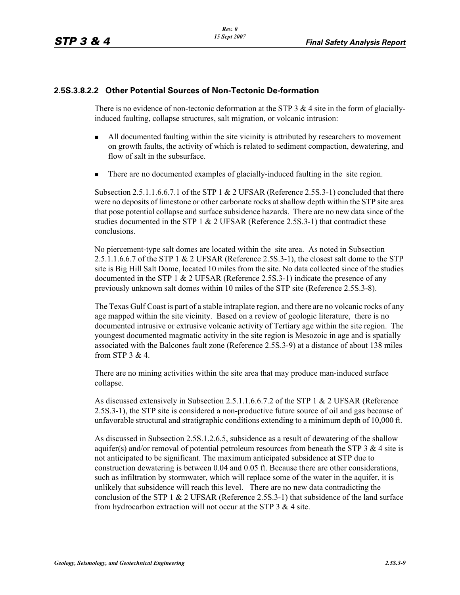#### **2.5S.3.8.2.2 Other Potential Sources of Non-Tectonic De-formation**

There is no evidence of non-tectonic deformation at the STP 3  $\&$  4 site in the form of glaciallyinduced faulting, collapse structures, salt migration, or volcanic intrusion:

- - All documented faulting within the site vicinity is attributed by researchers to movement on growth faults, the activity of which is related to sediment compaction, dewatering, and flow of salt in the subsurface.
- -There are no documented examples of glacially-induced faulting in the site region.

Subsection 2.5.1.1.6.6.7.1 of the STP 1  $& 2$  UFSAR (Reference 2.5S.3-1) concluded that there were no deposits of limestone or other carbonate rocks at shallow depth within the STP site area that pose potential collapse and surface subsidence hazards. There are no new data since of the studies documented in the STP 1  $\&$  2 UFSAR (Reference 2.5S.3-1) that contradict these conclusions.

No piercement-type salt domes are located within the site area. As noted in Subsection 2.5.1.1.6.6.7 of the STP 1 & 2 UFSAR (Reference 2.5S.3-1), the closest salt dome to the STP site is Big Hill Salt Dome, located 10 miles from the site. No data collected since of the studies documented in the STP 1  $\&$  2 UFSAR (Reference 2.5S.3-1) indicate the presence of any previously unknown salt domes within 10 miles of the STP site (Reference 2.5S.3-8).

The Texas Gulf Coast is part of a stable intraplate region, and there are no volcanic rocks of any age mapped within the site vicinity. Based on a review of geologic literature, there is no documented intrusive or extrusive volcanic activity of Tertiary age within the site region. The youngest documented magmatic activity in the site region is Mesozoic in age and is spatially associated with the Balcones fault zone (Reference 2.5S.3-9) at a distance of about 138 miles from STP 3 & 4.

There are no mining activities within the site area that may produce man-induced surface collapse.

As discussed extensively in Subsection 2.5.1.1.6.6.7.2 of the STP 1 & 2 UFSAR (Reference 2.5S.3-1), the STP site is considered a non-productive future source of oil and gas because of unfavorable structural and stratigraphic conditions extending to a minimum depth of 10,000 ft.

As discussed in Subsection 2.5S.1.2.6.5, subsidence as a result of dewatering of the shallow aquifer(s) and/or removal of potential petroleum resources from beneath the STP 3  $\&$  4 site is not anticipated to be significant. The maximum anticipated subsidence at STP due to construction dewatering is between 0.04 and 0.05 ft. Because there are other considerations, such as infiltration by stormwater, which will replace some of the water in the aquifer, it is unlikely that subsidence will reach this level. There are no new data contradicting the conclusion of the STP 1  $\&$  2 UFSAR (Reference 2.5S.3-1) that subsidence of the land surface from hydrocarbon extraction will not occur at the STP 3 & 4 site.